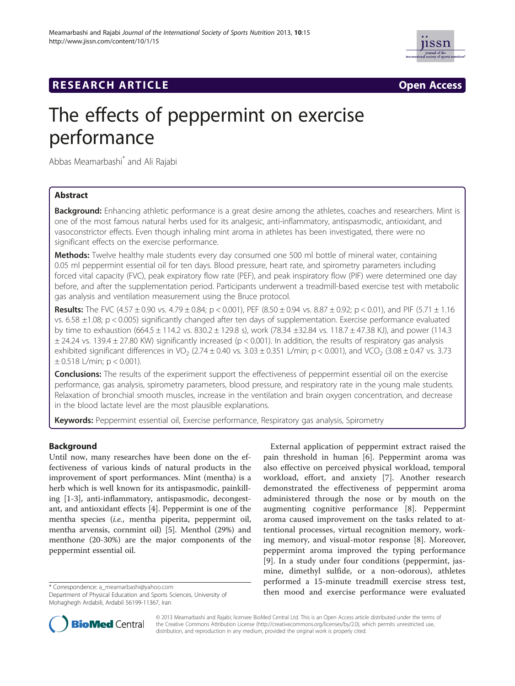

## **RESEARCH ARTICLE Example 2014 12:30 THE Open Access**

# The effects of peppermint on exercise performance

Abbas Meamarbashi\* and Ali Rajabi

### Abstract

Background: Enhancing athletic performance is a great desire among the athletes, coaches and researchers. Mint is one of the most famous natural herbs used for its analgesic, anti-inflammatory, antispasmodic, antioxidant, and vasoconstrictor effects. Even though inhaling mint aroma in athletes has been investigated, there were no significant effects on the exercise performance.

Methods: Twelve healthy male students every day consumed one 500 ml bottle of mineral water, containing 0.05 ml peppermint essential oil for ten days. Blood pressure, heart rate, and spirometry parameters including forced vital capacity (FVC), peak expiratory flow rate (PEF), and peak inspiratory flow (PIF) were determined one day before, and after the supplementation period. Participants underwent a treadmill-based exercise test with metabolic gas analysis and ventilation measurement using the Bruce protocol.

**Results:** The FVC (4.57  $\pm$  0.90 vs. 4.79  $\pm$  0.84; p < 0.001), PEF (8.50  $\pm$  0.94 vs. 8.87  $\pm$  0.92; p < 0.01), and PIF (5.71  $\pm$  1.16 vs. 6.58 ±1.08; p < 0.005) significantly changed after ten days of supplementation. Exercise performance evaluated by time to exhaustion (664.5 ± 114.2 vs. 830.2 ± 129.8 s), work (78.34 ±32.84 vs. 118.7 ± 47.38 KJ), and power (114.3  $\pm$  24.24 vs. 139.4  $\pm$  27.80 KW) significantly increased (p < 0.001). In addition, the results of respiratory gas analysis exhibited significant differences in VO<sub>2</sub> (2.74 ± 0.40 vs. 3.03 ± 0.351 L/min; p < 0.001), and VCO<sub>2</sub> (3.08 ± 0.47 vs. 3.73  $\pm$  0.518 L/min; p < 0.001).

**Conclusions:** The results of the experiment support the effectiveness of peppermint essential oil on the exercise performance, gas analysis, spirometry parameters, blood pressure, and respiratory rate in the young male students. Relaxation of bronchial smooth muscles, increase in the ventilation and brain oxygen concentration, and decrease in the blood lactate level are the most plausible explanations.

Keywords: Peppermint essential oil, Exercise performance, Respiratory gas analysis, Spirometry

#### Background

Until now, many researches have been done on the effectiveness of various kinds of natural products in the improvement of sport performances. Mint (mentha) is a herb which is well known for its antispasmodic, painkilling [\[1](#page-4-0)-[3\]](#page-4-0), anti-inflammatory, antispasmodic, decongestant, and antioxidant effects [[4\]](#page-4-0). Peppermint is one of the mentha species (i.e., mentha piperita, peppermint oil, mentha arvensis, cornmint oil) [\[5](#page-4-0)]. Menthol (29%) and menthone (20-30%) are the major components of the peppermint essential oil.

External application of peppermint extract raised the pain threshold in human [[6\]](#page-4-0). Peppermint aroma was also effective on perceived physical workload, temporal workload, effort, and anxiety [\[7](#page-4-0)]. Another research demonstrated the effectiveness of peppermint aroma administered through the nose or by mouth on the augmenting cognitive performance [[8\]](#page-4-0). Peppermint aroma caused improvement on the tasks related to attentional processes, virtual recognition memory, working memory, and visual-motor response [[8](#page-4-0)]. Moreover, peppermint aroma improved the typing performance [[9](#page-4-0)]. In a study under four conditions (peppermint, jasmine, dimethyl sulfide, or a non-odorous), athletes performed a 15-minute treadmill exercise stress test, then mood and exercise performance were evaluated \* Correspondence: [a\\_meamarbashi@yahoo.com](mailto:a_meamarbashi@yahoo.com)



© 2013 Meamarbashi and Rajabi; licensee BioMed Central Ltd. This is an Open Access article distributed under the terms of the Creative Commons Attribution License [\(http://creativecommons.org/licenses/by/2.0\)](http://creativecommons.org/licenses/by/2.0), which permits unrestricted use, distribution, and reproduction in any medium, provided the original work is properly cited.

Department of Physical Education and Sports Sciences, University of Mohaghegh Ardabili, Ardabil 56199-11367, Iran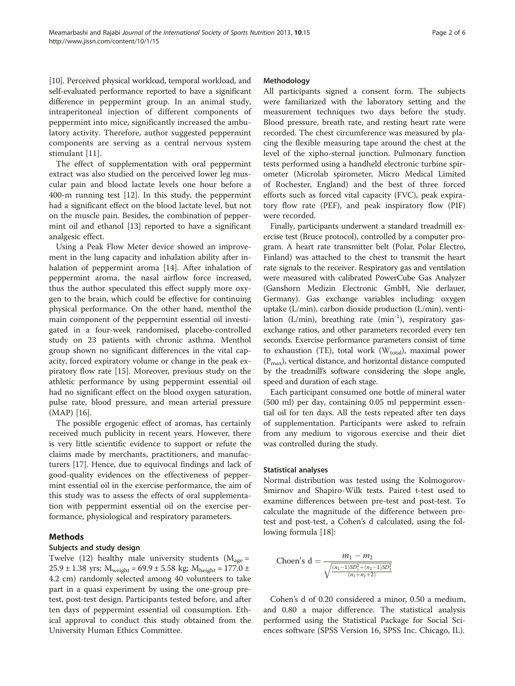[[10](#page-4-0)]. Perceived physical workload, temporal workload, and self-evaluated performance reported to have a significant difference in peppermint group. In an animal study, intraperitoneal injection of different components of peppermint into mice, significantly increased the ambulatory activity. Therefore, author suggested peppermint components are serving as a central nervous system stimulant [\[11](#page-4-0)].

The effect of supplementation with oral peppermint extract was also studied on the perceived lower leg muscular pain and blood lactate levels one hour before a 400-m running test [\[12](#page-4-0)]. In this study, the peppermint had a significant effect on the blood lactate level, but not on the muscle pain. Besides, the combination of peppermint oil and ethanol [\[13](#page-4-0)] reported to have a significant analgesic effect.

Using a Peak Flow Meter device showed an improvement in the lung capacity and inhalation ability after in-halation of peppermint aroma [[14\]](#page-4-0). After inhalation of peppermint aroma, the nasal airflow force increased, thus the author speculated this effect supply more oxygen to the brain, which could be effective for continuing physical performance. On the other hand, menthol the main component of the peppermint essential oil investigated in a four-week randomised, placebo-controlled study on 23 patients with chronic asthma. Menthol group shown no significant differences in the vital capacity, forced expiratory volume or change in the peak expiratory flow rate [[15\]](#page-4-0). Moreover, previous study on the athletic performance by using peppermint essential oil had no significant effect on the blood oxygen saturation, pulse rate, blood pressure, and mean arterial pressure (MAP) [[16\]](#page-4-0).

The possible ergogenic effect of aromas, has certainly received much publicity in recent years. However, there is very little scientific evidence to support or refute the claims made by merchants, practitioners, and manufacturers [\[17\]](#page-4-0). Hence, due to equivocal findings and lack of good-quality evidences on the effectiveness of peppermint essential oil in the exercise performance, the aim of this study was to assess the effects of oral supplementation with peppermint essential oil on the exercise performance, physiological and respiratory parameters.

#### Methods

#### Subjects and study design

Twelve (12) healthy male university students ( $M_{\text{age}} =$  $25.9 \pm 1.38$  yrs;  $M_{weight} = 69.9 \pm 5.58$  kg;  $M_{height} = 177.0 \pm 1.38$ 4.2 cm) randomly selected among 40 volunteers to take part in a quasi experiment by using the one-group pretest, post-test design. Participants tested before, and after ten days of peppermint essential oil consumption. Ethical approval to conduct this study obtained from the University Human Ethics Committee.

#### Methodology

All participants signed a consent form. The subjects were familiarized with the laboratory setting and the measurement techniques two days before the study. Blood pressure, breath rate, and resting heart rate were recorded. The chest circumference was measured by placing the flexible measuring tape around the chest at the level of the xipho-sternal junction. Pulmonary function tests performed using a handheld electronic turbine spirometer (Microlab spirometer, Micro Medical Limited of Rochester, England) and the best of three forced efforts such as forced vital capacity (FVC), peak expiratory flow rate (PEF), and peak inspiratory flow (PIF) were recorded.

Finally, participants underwent a standard treadmill exercise test (Bruce protocol), controlled by a computer program. A heart rate transmitter belt (Polar, Polar Electro, Finland) was attached to the chest to transmit the heart rate signals to the receiver. Respiratory gas and ventilation were measured with calibrated PowerCube Gas Analyzer (Ganshorn Medizin Electronic GmbH, Nie derlauer, Germany). Gas exchange variables including: oxygen uptake (L/min), carbon dioxide production (L/min), ventilation  $(L/min)$ , breathing rate  $(min^{-1})$ , respiratory gasexchange ratios, and other parameters recorded every ten seconds. Exercise performance parameters consist of time to exhaustion (TE), total work ( $W_{total}$ ), maximal power  $(P<sub>max</sub>)$ , vertical distance, and horizontal distance computed by the treadmill's software considering the slope angle, speed and duration of each stage.

Each participant consumed one bottle of mineral water (500 ml) per day, containing 0.05 ml peppermint essential oil for ten days. All the tests repeated after ten days of supplementation. Participants were asked to refrain from any medium to vigorous exercise and their diet was controlled during the study.

#### Statistical analyses

Normal distribution was tested using the Kolmogorov-Smirnov and Shapiro-Wilk tests. Paired t-test used to examine differences between pre-test and post-test. To calculate the magnitude of the difference between pretest and post-test, a Cohen's d calculated, using the following formula [\[18](#page-5-0)]:

$$
\text{Choen's d} = \frac{m_1 - m_2}{\sqrt{\frac{(n_1 - 1)SD_1^2 + (n_2 - 1)SD_2^2}{(n_1 + n_2 + 2)}}}
$$

Cohen's d of 0.20 considered a minor, 0.50 a medium, and 0.80 a major difference. The statistical analysis performed using the Statistical Package for Social Sciences software (SPSS Version 16, SPSS Inc. Chicago, IL).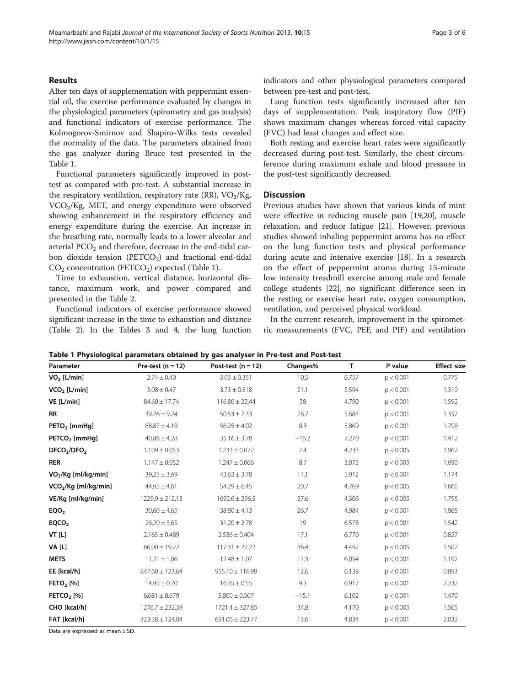#### <span id="page-2-0"></span>Results

After ten days of supplementation with peppermint essential oil, the exercise performance evaluated by changes in the physiological parameters (spirometry and gas analysis) and functional indicators of exercise performance. The Kolmogorov-Smirnov and Shapiro-Wilks tests revealed the normality of the data. The parameters obtained from the gas analyzer during Bruce test presented in the Table 1.

Functional parameters significantly improved in posttest as compared with pre-test. A substantial increase in the respiratory ventilation, respiratory rate (RR),  $VO<sub>2</sub>/Kg$ ,  $VCO<sub>2</sub>/Kg$ , MET, and energy expenditure were observed showing enhancement in the respiratory efficiency and energy expenditure during the exercise. An increase in the breathing rate, normally leads to a lower alveolar and arterial  $PCO<sub>2</sub>$  and therefore, decrease in the end-tidal carbon dioxide tension ( $PETCO<sub>2</sub>$ ) and fractional end-tidal  $CO<sub>2</sub>$  concentration (FETCO<sub>2</sub>) expected (Table 1).

Time to exhaustion, vertical distance, horizontal distance, maximum work, and power compared and presented in the Table [2](#page-3-0).

Functional indicators of exercise performance showed significant increase in the time to exhaustion and distance (Table [2\)](#page-3-0). In the Tables [3](#page-3-0) and [4,](#page-4-0) the lung function indicators and other physiological parameters compared between pre-test and post-test.

Lung function tests significantly increased after ten days of supplementation. Peak inspiratory flow (PIF) shows maximum changes whereas forced vital capacity (FVC) had least changes and effect size.

Both resting and exercise heart rates were significantly decreased during post-test. Similarly, the chest circumference during maximum exhale and blood pressure in the post-test significantly decreased.

#### **Discussion**

Previous studies have shown that various kinds of mint were effective in reducing muscle pain [\[19,20](#page-5-0)], muscle relaxation, and reduce fatigue [[21](#page-5-0)]. However, previous studies showed inhaling peppermint aroma has no effect on the lung function tests and physical performance during acute and intensive exercise [[18\]](#page-5-0). In a research on the effect of peppermint aroma during 15-minute low intensity treadmill exercise among male and female college students [\[22](#page-5-0)], no significant difference seen in the resting or exercise heart rate, oxygen consumption, ventilation, and perceived physical workload.

In the current research, improvement in the spirometric measurements (FVC, PEF, and PIF) and ventilation

| Parameter                           | Pre-test $(n = 12)$ | Post-test $(n = 12)$ | Changes% | т     | P value   | <b>Effect size</b> |
|-------------------------------------|---------------------|----------------------|----------|-------|-----------|--------------------|
| $VO2$ [L/min]                       | $2.74 \pm 0.40$     | $3.03 \pm 0.351$     | 10.5     | 6.757 | p < 0.001 | 0.775              |
| $VCO2$ [L/min]                      | $3.08 \pm 0.47$     | $3.73 \pm 0.518$     | 21.1     | 5.594 | p < 0.001 | 1.319              |
| VE [L/min]                          | $84.60 \pm 17.74$   | $116.80 \pm 22.44$   | 38       | 4.790 | p < 0.001 | 1.592              |
| <b>RR</b>                           | $39.26 \pm 9.24$    | $50.53 \pm 7.33$     | 28.7     | 5.683 | p < 0.001 | 1.352              |
| PETO <sub>2</sub> [mmHq]            | $88.87 \pm 4.19$    | $96.25 \pm 4.02$     | 8.3      | 5.869 | p < 0.001 | 1.798              |
| PETCO <sub>2</sub> [mmHg]           | $40.86 \pm 4.28$    | $35.16 \pm 3.78$     | $-16.2$  | 7.270 | p < 0.001 | 1.412              |
| DFCO <sub>2</sub> /DFO <sub>2</sub> | $1.109 \pm 0.053$   | $1.233 \pm 0.072$    | 7.4      | 4.233 | p < 0.005 | 1.962              |
| <b>RER</b>                          | $1.147 \pm 0.052$   | $1.247 \pm 0.066$    | 8.7      | 3.873 | p < 0.005 | 1.690              |
| $VO2/Kg$ [ml/kg/min]                | $39.25 \pm 3.69$    | $43.63 \pm 3.78$     | 11.1     | 5.912 | p < 0.001 | 1.174              |
| $VCO2/Kg$ [ml/kg/min]               | $44.95 \pm 4.61$    | $54.29 \pm 6.45$     | 20.7     | 4.769 | p < 0.005 | 1.666              |
| VE/Kg [ml/kg/min]                   | $1229.9 \pm 212.13$ | $1692.6 \pm 296.5$   | 37.6     | 4.306 | p < 0.005 | 1.795              |
| EQO <sub>2</sub>                    | $30.60 \pm 4.65$    | $38.80 \pm 4.13$     | 26.7     | 4.984 | p < 0.001 | 1.865              |
| EQCO <sub>2</sub>                   | $26.20 \pm 3.65$    | $31.20 \pm 2.78$     | 19       | 6.578 | p < 0.001 | 1.542              |
| VT [L]                              | $2.165 \pm 0.489$   | $2.536 \pm 0.404$    | 17.1     | 6.770 | p < 0.001 | 0.827              |
| <b>VA [L]</b>                       | $86.00 \pm 19.22$   | $117.31 \pm 22.22$   | 36.4     | 4.492 | p < 0.005 | 1.507              |
| <b>METS</b>                         | $11.21 \pm 1.06$    | $12.48 \pm 1.07$     | 11.3     | 6.054 | p < 0.001 | 1.192              |
| EE [kcal/h]                         | 847.60 ± 123.64     | $955.10 \pm 116.98$  | 12.6     | 6.138 | p < 0.001 | 0.893              |
| <b>FETO</b> <sub>2</sub> [%]        | $14.95 \pm 0.70$    | $16.35 \pm 0.55$     | 9.3      | 6.917 | p < 0.001 | 2.232              |
| $FETCO2$ [%]                        | $6.681 \pm 0.679$   | $5.800 \pm 0.507$    | $-15.1$  | 6.102 | p < 0.001 | 1.470              |
| CHO [kcal/h]                        | $1276.7 \pm 232.39$ | $1721.4 \pm 327.85$  | 34.8     | 4.170 | p < 0.005 | 1.565              |
| FAT [kcal/h]                        | $323.38 \pm 124.04$ | $691.06 \pm 223.77$  | 13.6     | 4.834 | p < 0.001 | 2.032              |

Table 1 Physiological parameters obtained by gas analyser in Pre-test and Post-test

Data are expressed as mean ± SD.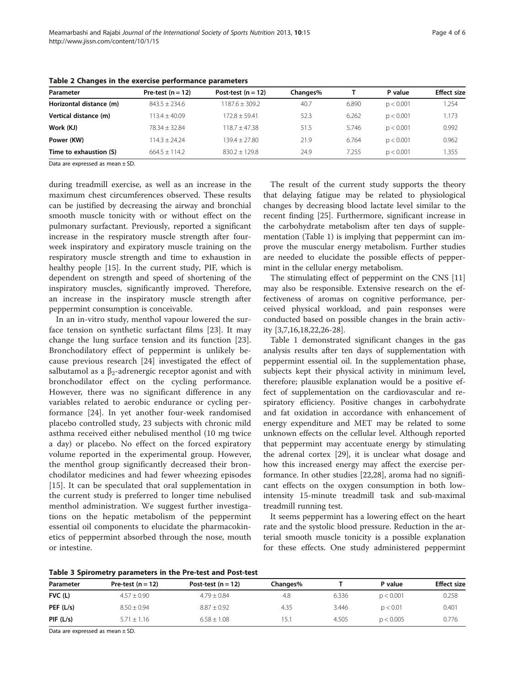| Parameter               | Pre-test $(n = 12)$ | Post-test $(n = 12)$ | Changes% |       | P value   | <b>Effect size</b> |
|-------------------------|---------------------|----------------------|----------|-------|-----------|--------------------|
| Horizontal distance (m) | $843.5 + 234.6$     | 1187.6 + 309.2       | 40.7     | 6.890 | p < 0.001 | 1.254              |
| Vertical distance (m)   | $13.4 + 40.09$      | $172.8 + 59.41$      | 52.3     | 6.262 | p < 0.001 | 1.173              |
| Work (KJ)               | $78.34 + 32.84$     | $118.7 + 47.38$      | 51.5     | 5.746 | p < 0.001 | 0.992              |
| Power (KW)              | $14.3 + 24.24$      | 139.4 + 27.80        | 21.9     | 6.764 | p < 0.001 | 0.962              |
| Time to exhaustion (S)  | $664.5 + 114.2$     | $830.2 + 129.8$      | 24.9     | 7.255 | p < 0.001 | .355               |

<span id="page-3-0"></span>Table 2 Changes in the exercise performance parameters

Data are expressed as mean ± SD.

during treadmill exercise, as well as an increase in the maximum chest circumferences observed. These results can be justified by decreasing the airway and bronchial smooth muscle tonicity with or without effect on the pulmonary surfactant. Previously, reported a significant increase in the respiratory muscle strength after fourweek inspiratory and expiratory muscle training on the respiratory muscle strength and time to exhaustion in healthy people [[15](#page-4-0)]. In the current study, PIF, which is dependent on strength and speed of shortening of the inspiratory muscles, significantly improved. Therefore, an increase in the inspiratory muscle strength after peppermint consumption is conceivable.

In an in-vitro study, menthol vapour lowered the surface tension on synthetic surfactant films [[23\]](#page-5-0). It may change the lung surface tension and its function [[23](#page-5-0)]. Bronchodilatory effect of peppermint is unlikely because previous research [\[24](#page-5-0)] investigated the effect of salbutamol as a  $\beta_2$ -adrenergic receptor agonist and with bronchodilator effect on the cycling performance. However, there was no significant difference in any variables related to aerobic endurance or cycling performance [\[24](#page-5-0)]. In yet another four-week randomised placebo controlled study, 23 subjects with chronic mild asthma received either nebulised menthol (10 mg twice a day) or placebo. No effect on the forced expiratory volume reported in the experimental group. However, the menthol group significantly decreased their bronchodilator medicines and had fewer wheezing episodes [[15\]](#page-4-0). It can be speculated that oral supplementation in the current study is preferred to longer time nebulised menthol administration. We suggest further investigations on the hepatic metabolism of the peppermint essential oil components to elucidate the pharmacokinetics of peppermint absorbed through the nose, mouth or intestine.

The result of the current study supports the theory that delaying fatigue may be related to physiological changes by decreasing blood lactate level similar to the recent finding [\[25](#page-5-0)]. Furthermore, significant increase in the carbohydrate metabolism after ten days of supplementation (Table [1\)](#page-2-0) is implying that peppermint can improve the muscular energy metabolism. Further studies are needed to elucidate the possible effects of peppermint in the cellular energy metabolism.

The stimulating effect of peppermint on the CNS [[11](#page-4-0)] may also be responsible. Extensive research on the effectiveness of aromas on cognitive performance, perceived physical workload, and pain responses were conducted based on possible changes in the brain activity [[3,7,16,](#page-4-0)[18,22,26-28](#page-5-0)].

Table [1](#page-2-0) demonstrated significant changes in the gas analysis results after ten days of supplementation with peppermint essential oil. In the supplementation phase, subjects kept their physical activity in minimum level, therefore; plausible explanation would be a positive effect of supplementation on the cardiovascular and respiratory efficiency. Positive changes in carbohydrate and fat oxidation in accordance with enhancement of energy expenditure and MET may be related to some unknown effects on the cellular level. Although reported that peppermint may accentuate energy by stimulating the adrenal cortex [[29](#page-5-0)], it is unclear what dosage and how this increased energy may affect the exercise performance. In other studies [[22](#page-5-0),[28](#page-5-0)], aroma had no significant effects on the oxygen consumption in both lowintensity 15-minute treadmill task and sub-maximal treadmill running test.

It seems peppermint has a lowering effect on the heart rate and the systolic blood pressure. Reduction in the arterial smooth muscle tonicity is a possible explanation for these effects. One study administered peppermint

| Parameter | Pre-test $(n = 12)$ | Post-test $(n = 12)$ | Changes% |       | P value   | <b>Effect size</b> |
|-----------|---------------------|----------------------|----------|-------|-----------|--------------------|
| FVC (L)   | $4.57 + 0.90$       | $4.79 + 0.84$        | 4.8      | 6.336 | p < 0.001 | 0.258              |
| PEF (L/s) | $8.50 + 0.94$       | $8.87 \pm 0.92$      | 4.35     | 3.446 | p < 0.01  | 0.401              |
| PIF(L/s)  | $5.71 \pm 1.16$     | $6.58 \pm 1.08$      | 15.1     | 4.505 | p < 0.005 | 0.776              |

Data are expressed as mean ± SD.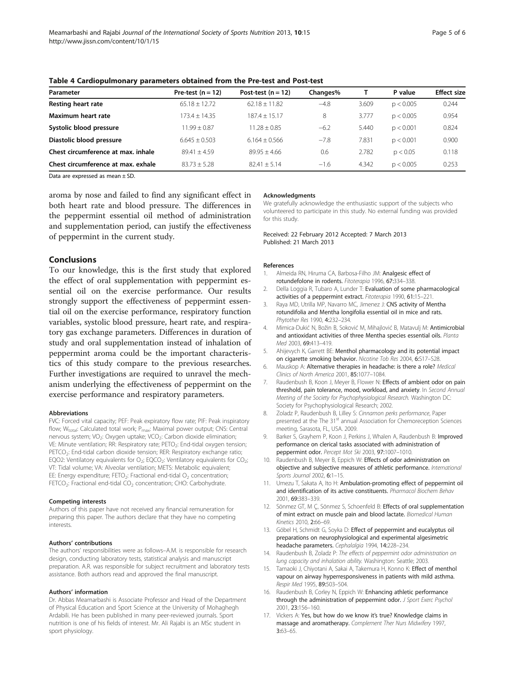| <b>Parameter</b>                   | Pre-test $(n = 12)$ | Post-test $(n = 12)$ | Changes% |       | P value   | <b>Effect size</b> |
|------------------------------------|---------------------|----------------------|----------|-------|-----------|--------------------|
| Resting heart rate                 | $65.18 + 12.72$     | $62.18 + 11.82$      | $-4.8$   | 3.609 | p < 0.005 | 0.244              |
| Maximum heart rate                 | $173.4 + 14.35$     | $187.4 + 15.17$      | 8        | 3.777 | p < 0.005 | 0.954              |
| Systolic blood pressure            | $11.99 + 0.87$      | $11.28 + 0.85$       | $-6.2$   | 5.440 | p < 0.001 | 0.824              |
| Diastolic blood pressure           | $6.645 + 0.503$     | $6.164 + 0.566$      | $-7.8$   | 7.831 | p < 0.001 | 0.900              |
| Chest circumference at max. inhale | $89.41 + 4.59$      | $89.95 + 4.66$       | 0.6      | 2.782 | p < 0.05  | 0.118              |
| Chest circumference at max. exhale | $83.73 + 5.28$      | $82.41 + 5.14$       | $-1.6$   | 4.342 | p < 0.005 | 0.253              |

<span id="page-4-0"></span>Table 4 Cardiopulmonary parameters obtained from the Pre-test and Post-test

Data are expressed as mean ± SD.

aroma by nose and failed to find any significant effect in both heart rate and blood pressure. The differences in the peppermint essential oil method of administration and supplementation period, can justify the effectiveness of peppermint in the current study.

#### Conclusions

To our knowledge, this is the first study that explored the effect of oral supplementation with peppermint essential oil on the exercise performance. Our results strongly support the effectiveness of peppermint essential oil on the exercise performance, respiratory function variables, systolic blood pressure, heart rate, and respiratory gas exchange parameters. Differences in duration of study and oral supplementation instead of inhalation of peppermint aroma could be the important characteristics of this study compare to the previous researches. Further investigations are required to unravel the mechanism underlying the effectiveness of peppermint on the exercise performance and respiratory parameters.

#### Abbreviations

FVC: Forced vital capacity; PEF: Peak expiratory flow rate; PIF: Peak inspiratory flow; W<sub>total</sub>: Calculated total work; P<sub>max</sub>: Maximal power output; CNS: Central nervous system; VO<sub>2</sub>: Oxygen uptake; VCO<sub>2</sub>: Carbon dioxide elimination; VE: Minute ventilation; RR: Respiratory rate; PETO<sub>2</sub>: End-tidal oxygen tension; PETCO<sub>2</sub>: End-tidal carbon dioxide tension; RER: Respiratory exchange ratio; EQO2: Ventilatory equivalents for  $O_2$ ; EQCO<sub>2</sub>: Ventilatory equivalents for CO<sub>2</sub>; VT: Tidal volume; VA: Alveolar ventilation; METS: Metabolic equivalent; EE: Energy expenditure; FETO<sub>2</sub>: Fractional end-tidal  $O_2$  concentration;  $FETCO<sub>2</sub>$ : Fractional end-tidal  $CO<sub>2</sub>$  concentration; CHO: Carbohydrate.

#### Competing interests

Authors of this paper have not received any financial remuneration for preparing this paper. The authors declare that they have no competing interests.

#### Authors' contributions

The authors' responsibilities were as follows–A.M. is responsible for research design, conducting laboratory tests, statistical analysis and manuscript preparation. A.R. was responsible for subject recruitment and laboratory tests assistance. Both authors read and approved the final manuscript.

#### Authors' information

Dr. Abbas Meamarbashi is Associate Professor and Head of the Department of Physical Education and Sport Science at the University of Mohaghegh Ardabili. He has been published in many peer-reviewed journals. Sport nutrition is one of his fields of interest. Mr. Ali Rajabi is an MSc student in sport physiology.

#### Acknowledgments

We gratefully acknowledge the enthusiastic support of the subjects who volunteered to participate in this study. No external funding was provided for this study.

Received: 22 February 2012 Accepted: 7 March 2013 Published: 21 March 2013

#### References

- 1. Almeida RN, Hiruma CA, Barbosa-Filho JM: Analgesic effect of rotundefolone in rodents. Fitoterapia 1996, 67:334–338.
- 2. Della Loggia R, Tubaro A, Lunder T: Evaluation of some pharmacological activities of a peppermint extract. Fitoterapia 1990, 61:15–221.
- 3. Raya MD, Utrilla MP, Navarro MC, Jimenez J: CNS activity of Mentha rotundifolia and Mentha longifolia essential oil in mice and rats. Phytother Res 1990, 4:232–234.
- 4. Mimica-Dukić N, Božin B, Soković M, Mihajlović B, Matavulj M: Antimicrobial and antioxidant activities of three Mentha species essential oils. Planta Med 2003, 69:413–419.
- 5. Ahijevych K, Garrett BE: Menthol pharmacology and its potential impact on cigarette smoking behavior. Nicotine Tob Res 2004, 6:S17–S28.
- 6. Mauskop A: Alternative therapies in headache: is there a role? Medical Clinics of North America 2001, 85:1077–1084.
- 7. Raudenbush B, Koon J, Meyer B, Flower N: Effects of ambient odor on pain threshold, pain tolerance, mood, workload, and anxiety. In Second Annual Meeting of the Society for Psychophysiological Research. Washington DC: Society for Psychophysiological Research; 2002.
- 8. Zoladz P, Raudenbush B, Lilley S: Cinnamon perks performance, Paper presented at the The 31<sup>st</sup> annual Association for Chemoreception Sciences meeting, Sarasota, FL, USA. 2009.
- 9. Barker S, Grayhem P, Koon J, Perkins J, Whalen A, Raudenbush B: Improved performance on clerical tasks associated with administration of peppermint odor. Percept Mot Ski 2003, 97:1007–1010.
- 10. Raudenbush B, Meyer B, Eppich W: Effects of odor administration on objective and subjective measures of athletic performance. International Sports Journal 2002, 6:1-15.
- 11. Umezu T, Sakata A, Ito H: Ambulation-promoting effect of peppermint oil and identification of its active constituents. Pharmacol Biochem Behav 2001, 69:383–339.
- 12. Sönmez GT, M Ç, Sönmez S, Schoenfeld B: Effects of oral supplementation of mint extract on muscle pain and blood lactate. Biomedical Human Kinetics 2010, 2:66–69.
- 13. Göbel H, Schmidt G, Soyka D: Effect of peppermint and eucalyptus oil preparations on neurophysiological and experimental algesimetric headache parameters. Cephalalgia 1994, 14:228–234.
- 14. Raudenbush B, Zoladz P: The effects of peppermint odor administration on lung capacity and inhalation ability. Washington: Seattle; 2003.
- 15. Tamaoki J, Chiyotani A, Sakai A, Takemura H, Konno K: Effect of menthol vapour on airway hyperresponsiveness in patients with mild asthma. Respir Med 1995, 89:503–504.
- 16. Raudenbush B, Corley N, Eppich W: Enhancing athletic performance through the administration of peppermint odor. J Sport Exerc Psychol 2001, 23:156–160.
- 17. Vickers A: Yes, but how do we know it's true? Knowledge claims in massage and aromatherapy. Complement Ther Nurs Midwifery 1997, 3:63–65.